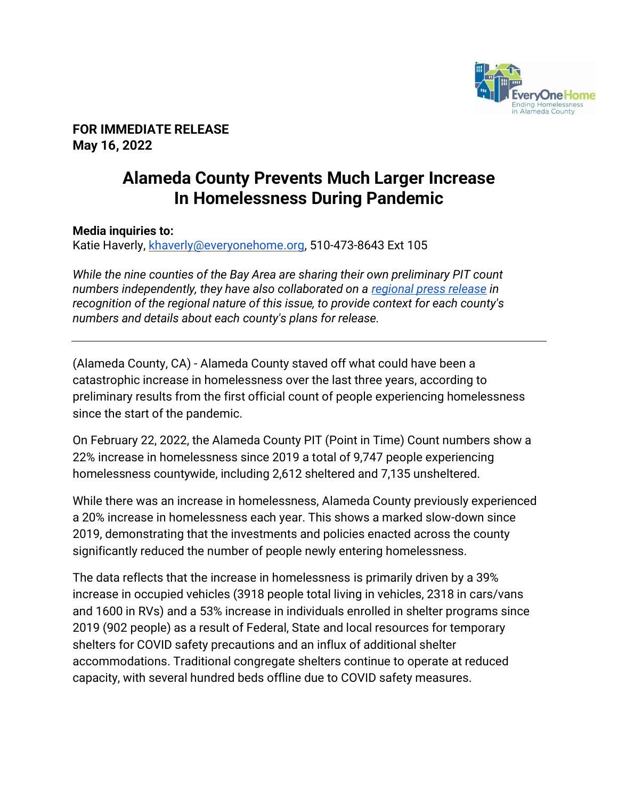

**FOR IMMEDIATE RELEASE May 16, 2022** 

## **Alameda County Prevents Much Larger Increase In Homelessness During Pandemic**

## **Media inquiries to:**

Katie Haverly, [khaverly@everyonehome.org,](mailto:khaverly@everyonehome.org) 510-473-8643 Ext 105

*While the nine counties of the Bay Area are sharing their own preliminary PIT count numbers independently, they have also collaborated on a [regional press release](https://www.allhomeca.org/2022/05/11/2022-regional-prelim-pit-count-release) in recognition of the regional nature of this issue, to provide context for each county's numbers and details about each county's plans for release.*

(Alameda County, CA) - Alameda County staved off what could have been a catastrophic increase in homelessness over the last three years, according to preliminary results from the first official count of people experiencing homelessness since the start of the pandemic.

On February 22, 2022, the Alameda County PIT (Point in Time) Count numbers show a 22% increase in homelessness since 2019 a total of 9,747 people experiencing homelessness countywide, including 2,612 sheltered and 7,135 unsheltered.

While there was an increase in homelessness, Alameda County previously experienced a 20% increase in homelessness each year. This shows a marked slow-down since 2019, demonstrating that the investments and policies enacted across the county significantly reduced the number of people newly entering homelessness.

The data reflects that the increase in homelessness is primarily driven by a 39% increase in occupied vehicles (3918 people total living in vehicles, 2318 in cars/vans and 1600 in RVs) and a 53% increase in individuals enrolled in shelter programs since 2019 (902 people) as a result of Federal, State and local resources for temporary shelters for COVID safety precautions and an influx of additional shelter accommodations. Traditional congregate shelters continue to operate at reduced capacity, with several hundred beds offline due to COVID safety measures.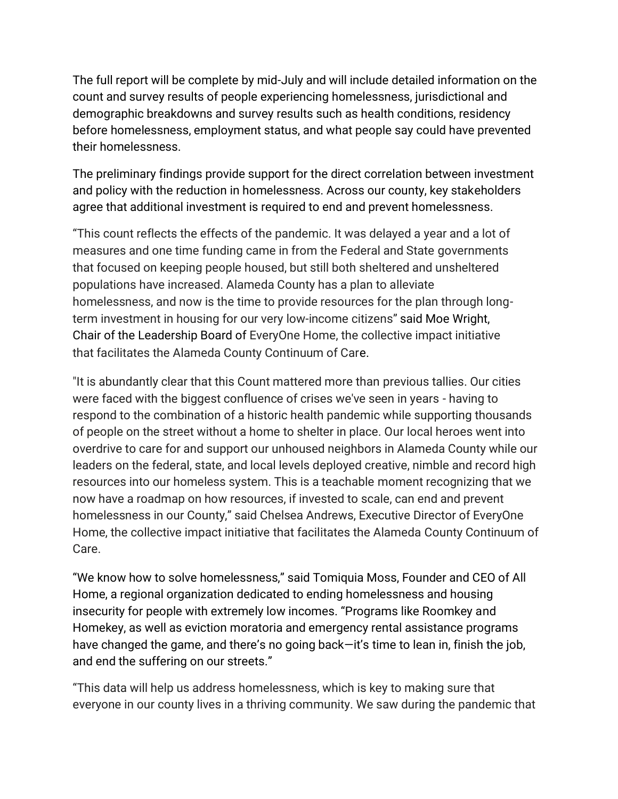The full report will be complete by mid-July and will include detailed information on the count and survey results of people experiencing homelessness, jurisdictional and demographic breakdowns and survey results such as health conditions, residency before homelessness, employment status, and what people say could have prevented their homelessness.

The preliminary findings provide support for the direct correlation between investment and policy with the reduction in homelessness. Across our county, key stakeholders agree that additional investment is required to end and prevent homelessness.

"This count reflects the effects of the pandemic. It was delayed a year and a lot of measures and one time funding came in from the Federal and State governments that focused on keeping people housed, but still both sheltered and unsheltered populations have increased. Alameda County has a plan to alleviate homelessness, and now is the time to provide resources for the plan through longterm investment in housing for our very low-income citizens" said Moe Wright, Chair of the Leadership Board of EveryOne Home, the collective impact initiative that facilitates the Alameda County Continuum of Care.

"It is abundantly clear that this Count mattered more than previous tallies. Our cities were faced with the biggest confluence of crises we've seen in years - having to respond to the combination of a historic health pandemic while supporting thousands of people on the street without a home to shelter in place. Our local heroes went into overdrive to care for and support our unhoused neighbors in Alameda County while our leaders on the federal, state, and local levels deployed creative, nimble and record high resources into our homeless system. This is a teachable moment recognizing that we now have a roadmap on how resources, if invested to scale, can end and prevent homelessness in our County," said Chelsea Andrews, Executive Director of EveryOne Home, the collective impact initiative that facilitates the Alameda County Continuum of Care.

"We know how to solve homelessness," said Tomiquia Moss, Founder and CEO of All Home, a regional organization dedicated to ending homelessness and housing insecurity for people with extremely low incomes. "Programs like Roomkey and Homekey, as well as eviction moratoria and emergency rental assistance programs have changed the game, and there's no going back—it's time to lean in, finish the job, and end the suffering on our streets."

"This data will help us address homelessness, which is key to making sure that everyone in our county lives in a thriving community. We saw during the pandemic that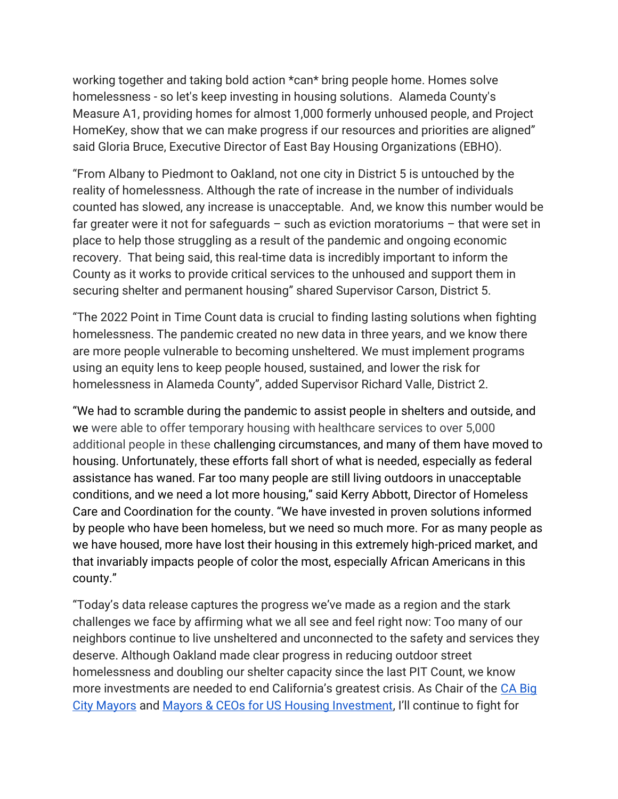working together and taking bold action \*can\* bring people home. Homes solve homelessness - so let's keep investing in housing solutions. Alameda County's Measure A1, providing homes for almost 1,000 formerly unhoused people, and Project HomeKey, show that we can make progress if our resources and priorities are aligned" said Gloria Bruce, Executive Director of East Bay Housing Organizations (EBHO).

"From Albany to Piedmont to Oakland, not one city in District 5 is untouched by the reality of homelessness. Although the rate of increase in the number of individuals counted has slowed, any increase is unacceptable. And, we know this number would be far greater were it not for safeguards – such as eviction moratoriums – that were set in place to help those struggling as a result of the pandemic and ongoing economic recovery. That being said, this real-time data is incredibly important to inform the County as it works to provide critical services to the unhoused and support them in securing shelter and permanent housing" shared Supervisor Carson, District 5.

"The 2022 Point in Time Count data is crucial to finding lasting solutions when fighting homelessness. The pandemic created no new data in three years, and we know there are more people vulnerable to becoming unsheltered. We must implement programs using an equity lens to keep people housed, sustained, and lower the risk for homelessness in Alameda County", added Supervisor Richard Valle, District 2.

"We had to scramble during the pandemic to assist people in shelters and outside, and we were able to offer temporary housing with healthcare services to over 5,000 additional people in these challenging circumstances, and many of them have moved to housing. Unfortunately, these efforts fall short of what is needed, especially as federal assistance has waned. Far too many people are still living outdoors in unacceptable conditions, and we need a lot more housing," said Kerry Abbott, Director of Homeless Care and Coordination for the county. "We have invested in proven solutions informed by people who have been homeless, but we need so much more. For as many people as we have housed, more have lost their housing in this extremely high-priced market, and that invariably impacts people of color the most, especially African Americans in this county."

"Today's data release captures the progress we've made as a region and the stark challenges we face by affirming what we all see and feel right now: Too many of our neighbors continue to live unsheltered and unconnected to the safety and services they deserve. Although Oakland made clear progress in reducing outdoor street homelessness and doubling our shelter capacity since the last PIT Count, we know more investments are needed to end California's greatest crisis. As Chair of the [CA Big](https://twitter.com/CABigCityMayors?ref_src=twsrc%5Egoogle%7Ctwcamp%5Eserp%7Ctwgr%5Eauthor)  [City Mayors](https://twitter.com/CABigCityMayors?ref_src=twsrc%5Egoogle%7Ctwcamp%5Eserp%7Ctwgr%5Eauthor) and [Mayors & CEOs for US Housing Investment](https://housinginvestment.org/), I'll continue to fight for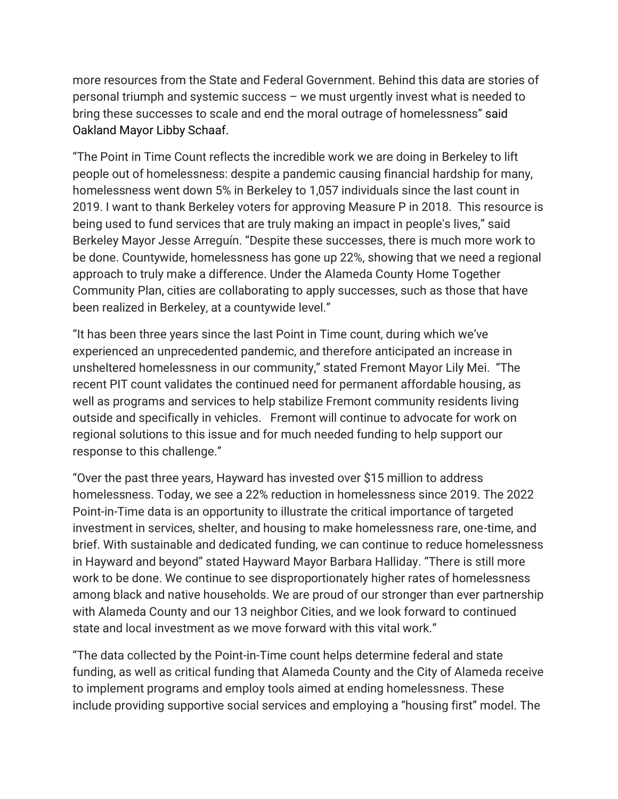more resources from the State and Federal Government. Behind this data are stories of personal triumph and systemic success – we must urgently invest what is needed to bring these successes to scale and end the moral outrage of homelessness" said Oakland Mayor Libby Schaaf.

"The Point in Time Count reflects the incredible work we are doing in Berkeley to lift people out of homelessness: despite a pandemic causing financial hardship for many, homelessness went down 5% in Berkeley to 1,057 individuals since the last count in 2019. I want to thank Berkeley voters for approving Measure P in 2018. This resource is being used to fund services that are truly making an impact in people's lives," said Berkeley Mayor Jesse Arreguín. "Despite these successes, there is much more work to be done. Countywide, homelessness has gone up 22%, showing that we need a regional approach to truly make a difference. Under the Alameda County Home Together Community Plan, cities are collaborating to apply successes, such as those that have been realized in Berkeley, at a countywide level."

"It has been three years since the last Point in Time count, during which we've experienced an unprecedented pandemic, and therefore anticipated an increase in unsheltered homelessness in our community," stated Fremont Mayor Lily Mei. "The recent PIT count validates the continued need for permanent affordable housing, as well as programs and services to help stabilize Fremont community residents living outside and specifically in vehicles. Fremont will continue to advocate for work on regional solutions to this issue and for much needed funding to help support our response to this challenge."

"Over the past three years, Hayward has invested over \$15 million to address homelessness. Today, we see a 22% reduction in homelessness since 2019. The 2022 Point-in-Time data is an opportunity to illustrate the critical importance of targeted investment in services, shelter, and housing to make homelessness rare, one-time, and brief. With sustainable and dedicated funding, we can continue to reduce homelessness in Hayward and beyond" stated Hayward Mayor Barbara Halliday. "There is still more work to be done. We continue to see disproportionately higher rates of homelessness among black and native households. We are proud of our stronger than ever partnership with Alameda County and our 13 neighbor Cities, and we look forward to continued state and local investment as we move forward with this vital work."

"The data collected by the Point-in-Time count helps determine federal and state funding, as well as critical funding that Alameda County and the City of Alameda receive to implement programs and employ tools aimed at ending homelessness. These include providing supportive social services and employing a "housing first" model. The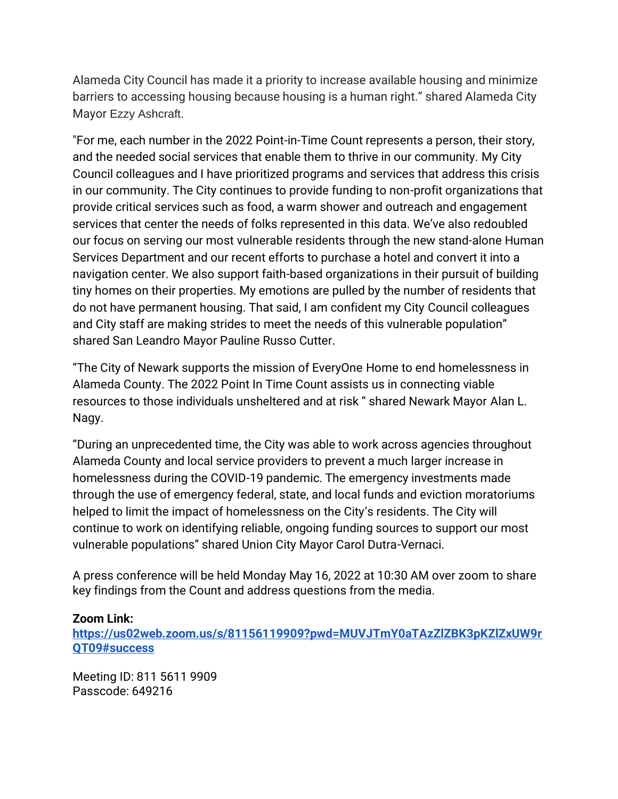Alameda City Council has made it a priority to increase available housing and minimize barriers to accessing housing because housing is a human right." shared Alameda City Mayor Ezzy Ashcraft.

"For me, each number in the 2022 Point-in-Time Count represents a person, their story, and the needed social services that enable them to thrive in our community. My City Council colleagues and I have prioritized programs and services that address this crisis in our community. The City continues to provide funding to non-profit organizations that provide critical services such as food, a warm shower and outreach and engagement services that center the needs of folks represented in this data. We've also redoubled our focus on serving our most vulnerable residents through the new stand-alone Human Services Department and our recent efforts to purchase a hotel and convert it into a navigation center. We also support faith-based organizations in their pursuit of building tiny homes on their properties. My emotions are pulled by the number of residents that do not have permanent housing. That said, I am confident my City Council colleagues and City staff are making strides to meet the needs of this vulnerable population" shared San Leandro Mayor Pauline Russo Cutter.

"The City of Newark supports the mission of EveryOne Home to end homelessness in Alameda County. The 2022 Point In Time Count assists us in connecting viable resources to those individuals unsheltered and at risk " shared Newark Mayor Alan L. Nagy.

"During an unprecedented time, the City was able to work across agencies throughout Alameda County and local service providers to prevent a much larger increase in homelessness during the COVID-19 pandemic. The emergency investments made through the use of emergency federal, state, and local funds and eviction moratoriums helped to limit the impact of homelessness on the City's residents. The City will continue to work on identifying reliable, ongoing funding sources to support our most vulnerable populations" shared Union City Mayor Carol Dutra-Vernaci.

A press conference will be held Monday May 16, 2022 at 10:30 AM over zoom to share key findings from the Count and address questions from the media.

## **[Zoom Link:](https://us02web.zoom.us/j/81156119909?pwd=MUVJTmY0aTAzZlZBK3pKZlZxUW9rQT09)**

**[https://us02web.zoom.us/s/81156119909?pwd=MUVJTmY0aTAzZlZBK3pKZlZxUW9r](https://us02web.zoom.us/s/81156119909?pwd=MUVJTmY0aTAzZlZBK3pKZlZxUW9rQT09#success) [QT09#success](https://us02web.zoom.us/s/81156119909?pwd=MUVJTmY0aTAzZlZBK3pKZlZxUW9rQT09#success)**

Meeting ID: 811 5611 9909 Passcode: 649216